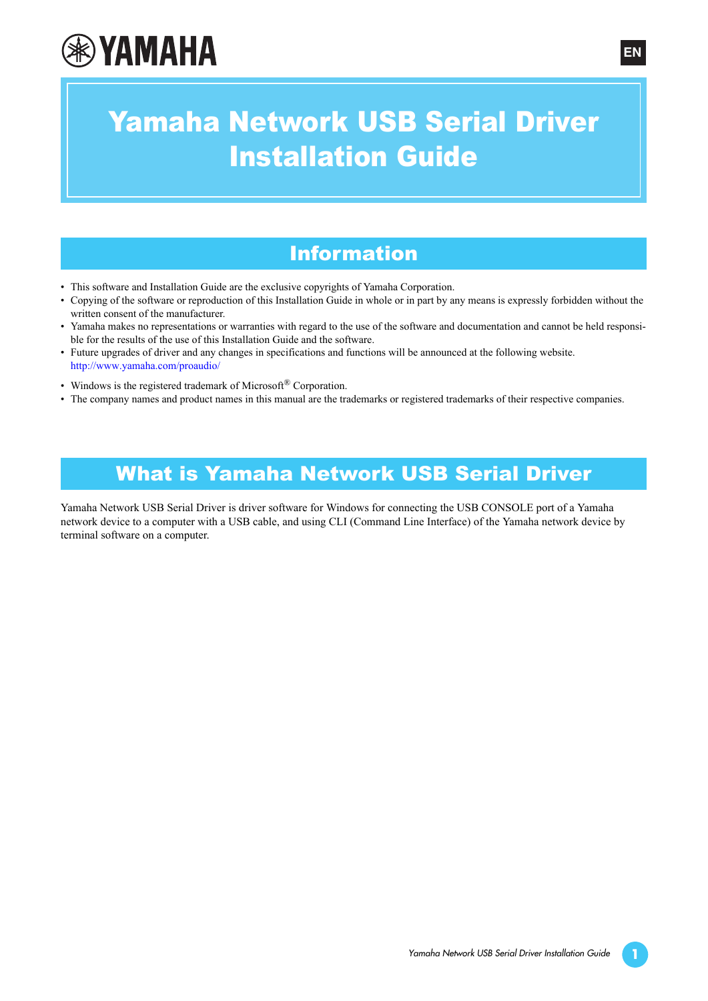# **®YAMAHA**

## Yamaha Network USB Serial Driver Installation Guide

## Information

- This software and Installation Guide are the exclusive copyrights of Yamaha Corporation.
- Copying of the software or reproduction of this Installation Guide in whole or in part by any means is expressly forbidden without the written consent of the manufacturer.
- Yamaha makes no representations or warranties with regard to the use of the software and documentation and cannot be held responsible for the results of the use of this Installation Guide and the software.
- Future upgrades of driver and any changes in specifications and functions will be announced at the following website. <http://www.yamaha.com/proaudio/>
- Windows is the registered trademark of Microsoft® Corporation.
- The company names and product names in this manual are the trademarks or registered trademarks of their respective companies.

## What is Yamaha Network USB Serial Driver

Yamaha Network USB Serial Driver is driver software for Windows for connecting the USB CONSOLE port of a Yamaha network device to a computer with a USB cable, and using CLI (Command Line Interface) of the Yamaha network device by terminal software on a computer.

**EN**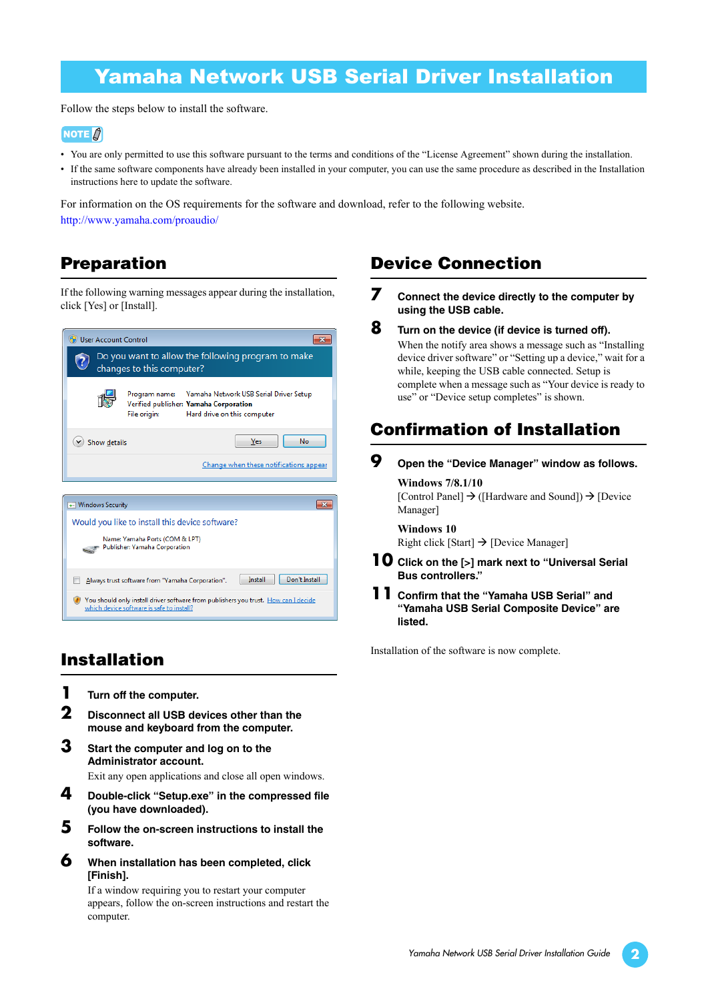## Yamaha Network USB Serial Driver Installation

Follow the steps below to install the software.

#### NOTE  $\beta$

- You are only permitted to use this software pursuant to the terms and conditions of the "License Agreement" shown during the installation.
- If the same software components have already been installed in your computer, you can use the same procedure as described in the Installation instructions here to update the software.

For information on the OS requirements for the software and download, refer to the following website. <http://www.yamaha.com/proaudio/>

### **Preparation**

If the following warning messages appear during the installation, click [Yes] or [Install].



### **Installation**

**1 Turn off the computer.**

which device software is safe to install?

- **2 Disconnect all USB devices other than the mouse and keyboard from the computer.**
- **3 Start the computer and log on to the Administrator account.** Exit any open applications and close all open windows.
- **4 Double-click "Setup.exe" in the compressed file (you have downloaded).**
- **5 Follow the on-screen instructions to install the software.**
- **6 When installation has been completed, click [Finish].**

If a window requiring you to restart your computer appears, follow the on-screen instructions and restart the computer.

#### **Device Connection**

- **7 Connect the device directly to the computer by using the USB cable.**
- **8 Turn on the device (if device is turned off).** When the notify area shows a message such as "Installing device driver software" or "Setting up a device," wait for a while, keeping the USB cable connected. Setup is complete when a message such as "Your device is ready to use" or "Device setup completes" is shown.

### **Confirmation of Installation**

#### **9 Open the "Device Manager" window as follows.**

**Windows 7/8.1/10** [Control Panel]  $\rightarrow$  ([Hardware and Sound])  $\rightarrow$  [Device Manager]

**Windows 10** Right click [Start]  $\rightarrow$  [Device Manager]

- **10 Click on the [>] mark next to "Universal Serial Bus controllers."**
- **11 Confirm that the "Yamaha USB Serial" and "Yamaha USB Serial Composite Device" are listed.**

Installation of the software is now complete.